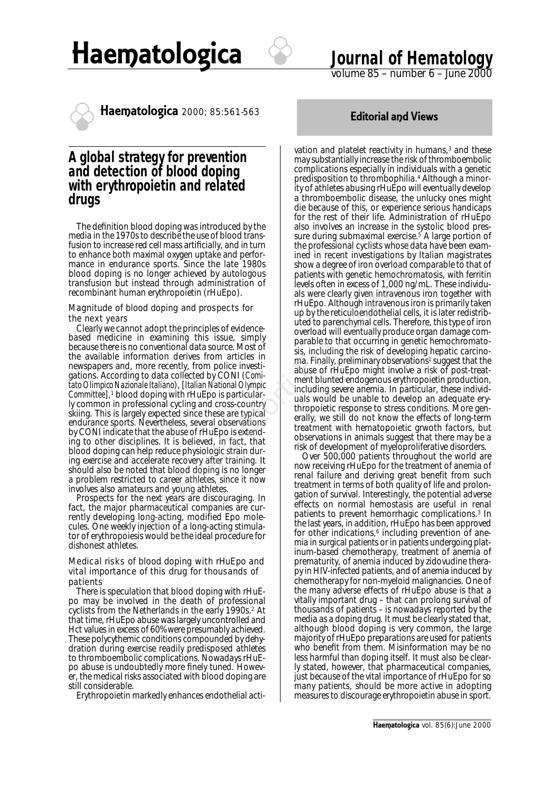



# **Journal of Hematology**



Haematologica 2000; 85:561-563<br>**Editorial and Views** 

## **A global strategy for prevention and detection of blood doping with erythropoietin and related drugs**

The definition blood doping was introduced by the media in the 1970s to describe the use of blood transfusion to increase red cell mass artificially, and in turn to enhance both maximal oxygen uptake and performance in endurance sports. Since the late 1980s blood doping is no longer achieved by autologous transfusion but instead through administration of recombinant human erythropoietin (rHuEpo).

#### *Magnitude of blood doping and prospects for the next years*

Clearly we cannot adopt the principles of evidencebased medicine in examining this issue, simply because there is no conventional data source. Most of the available information derives from articles in newspapers and, more recently, from police investigations. According to data collected by CONI (*Comitato Olimpico Nazionale Italiano*), [*Italian National Olympic Committee*],<sup>1</sup> blood doping with rHuEpo is particularly common in professional cycling and cross-country skiing. This is largely expected since these are typical endurance sports. Nevertheless, several observations by CONI indicate that the abuse of rHuEpo is extending to other disciplines. It is believed, in fact, that blood doping can help reduce physiologic strain during exercise and accelerate recovery after training. It should also be noted that blood doping is no longer a problem restricted to career athletes, since it now involves also amateurs and young athletes.

Prospects for the next years are discouraging. In fact, the major pharmaceutical companies are currently developing long-acting, modified Epo molecules. One weekly injection of a long-acting stimulator of erythropoiesis would be the ideal procedure for dishonest athletes.

### *Medical risks of blood doping with rHuEpo and vital importance of this drug for thousands of patients*

There is speculation that blood doping with rHuEpo may be involved in the death of professional cyclists from the Netherlands in the early 1990s.2 At that time, rHuEpo abuse was largely uncontrolled and Hct values in excess of 60% were presumably achieved. These polycythemic conditions compounded by dehydration during exercise readily predisposed athletes to thromboembolic complications. Nowadays rHuEpo abuse is undoubtedly more finely tuned. However, the medical risks associated with blood doping are still considerable.

Erythropoietin markedly enhances endothelial acti-

vation and platelet reactivity in humans,<sup>3</sup> and these may substantially increase the risk of thromboembolic complications especially in individuals with a genetic predisposition to thrombophilia.4 Although a minority of athletes abusing rHuEpo will eventually develop a thromboembolic disease, the unlucky ones might die because of this, or experience serious handicaps for the rest of their life. Administration of rHuEpo also involves an increase in the systolic blood pressure during submaximal exercise.5 A large portion of the professional cyclists whose data have been examined in recent investigations by Italian magistrates show a degree of iron overload comparable to that of patients with genetic hemochromatosis, with ferritin levels often in excess of 1,000 ng/mL. These individuals were clearly given intravenous iron together with rHuEpo. Although intravenous iron is primarily taken up by the reticuloendothelial cells, it is later redistributed to parenchymal cells. Therefore, this type of iron overload will eventually produce organ damage comparable to that occurring in genetic hemochromatosis, including the risk of developing hepatic carcinoma. Finally, preliminary observations<sup>1</sup> suggest that the abuse of rHuEpo might involve a risk of post-treatment blunted endogenous erythropoietin production, including severe anemia. In particular, these individuals would be unable to develop an adequate erythropoietic response to stress conditions. More generally, we still do not know the effects of long-term treatment with hematopoietic grwoth factors, but observations in animals suggest that there may be a risk of development of myeloproliferative disorders. Ever find the training this solution of the separative of the solution of proposition of the storting of the storting of the pricriptor of a storting this issue, simply the pricriptor of all the pricriptor of the pricripto

Over 500,000 patients throughout the world are now receiving rHuEpo for the treatment of anemia of renal failure and deriving great benefit from such treatment in terms of both quality of life and prolongation of survival. Interestingly, the potential adverse effects on normal hemostasis are useful in renal patients to prevent hemorrhagic complications.3 In the last years, in addition, rHuEpo has been approved for other indications,<sup>6</sup> including prevention of anemia in surgical patients or in patients undergoing platinum-based chemotherapy, treatment of anemia of prematurity, of anemia induced by zidovudine therapy in HIV-infected patients, and of anemia induced by chemotherapy for non-myeloid malignancies. One of the many adverse effects of rHuEpo abuse is that a vitally important drug – that can prolong survival of thousands of patients – is nowadays reported by the media as a doping drug. It must be clearly stated that, although blood doping is very common, the large majority of rHuEpo preparations are used for patients who benefit from them. Misinformation may be no less harmful than doping itself. It must also be clearly stated, however, that pharmaceutical companies, just because of the vital importance of rHuEpo for so many patients, should be more active in adopting measures to discourage erythropoietin abuse in sport.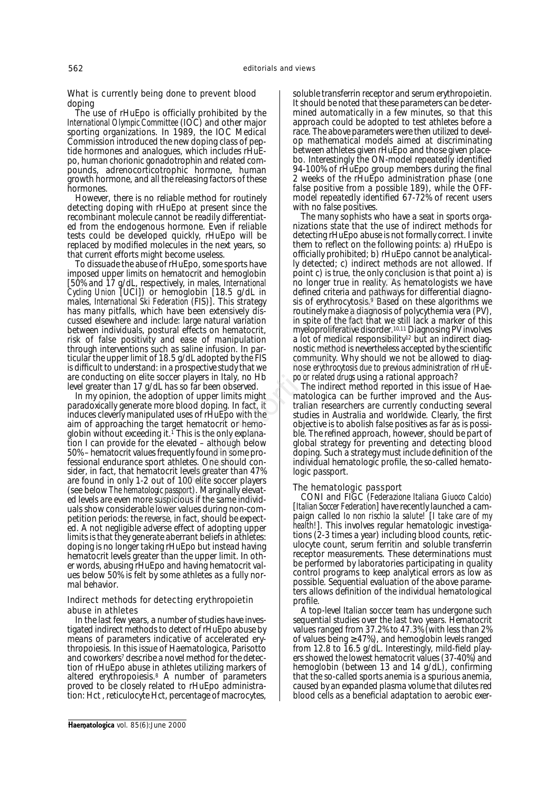#### *What is currently being done to prevent blood doping*

The use of rHuEpo is officially prohibited by the *International Olympic Committee* (IOC) and other major sporting organizations. In 1989, the IOC Medical Commission introduced the new doping class of peptide hormones and analogues, which includes rHuEpo, human chorionic gonadotrophin and related compounds, adrenocorticotrophic hormone, human growth hormone, and all the releasing factors of these hormones.

However, there is no reliable method for routinely detecting doping with rHuEpo at present since the recombinant molecule cannot be readily differentiated from the endogenous hormone. Even if reliable tests could be developed quickly, rHuEpo will be replaced by modified molecules in the next years, so that current efforts might become useless.

To dissuade the abuse of rHuEpo, some sports have imposed upper limits on hematocrit and hemoglobin [50% and 17 g/dL, respectively, in males, *International Cycling Union* [UCI]) or hemoglobin [18.5 g/dL in males, *International Ski Federation* (FIS)]. This strategy has many pitfalls, which have been extensively discussed elsewhere and include: large natural variation between individuals, postural effects on hematocrit, risk of false positivity and ease of manipulation through interventions such as saline infusion. In particular the upper limit of 18.5 g/dL adopted by the FIS is difficult to understand: in a prospective study that we are conducting on elite soccer players in Italy, no Hb level greater than 17 g/dL has so far been observed.

In my opinion, the adoption of upper limits might paradoxically generate more blood doping. In fact, it induces cleverly manipulated uses of rHuEpo with the aim of approaching the target hematocrit or hemoglobin without exceeding it.<sup> $\check{\tau}$ </sup> This is the only explanation I can provide for the elevated – although below 50% – hematocrit values frequently found in some professional endurance sport athletes. One should consider, in fact, that hematocrit levels greater than 47% are found in only 1-2 out of 100 elite soccer players (see below *The hematologic passport*). Marginally elevated levels are even more suspicious if the same individuals show considerable lower values during non-competition periods: the reverse, in fact, should be expected. A not negligible adverse effect of adopting upper limits is that they generate aberrant beliefs in athletes: doping is no longer taking rHuEpo but instead having hematocrit levels greater than the upper limit. In other words, abusing rHuEpo and having hematocrit values below 50% is felt by some athletes as a fully normal behavior. Sometive the species the preferred the studies of Hullington (and Figure 1970) and the specified and particle of the model of the model of the model of the model of the model of the star data and the star of the star of th

#### *Indirect methods for detecting erythropoietin abuse in athletes*

In the last few years, a number of studies have investigated indirect methods to detect of rHuEpo abuse by means of parameters indicative of accelerated erythropoiesis. In this issue of Haematologica, Parisotto and coworkers<sup>7</sup> describe a novel method for the detection of rHuEpo abuse in athletes utilizing markers of altered erythropoiesis.<sup>8</sup> A number of parameters proved to be closely related to rHuEpo administration: Hct , reticulocyte Hct, percentage of macrocytes,

soluble transferrin receptor and serum erythropoietin. It should be noted that these parameters can be determined automatically in a few minutes, so that this approach could be adopted to test athletes before a race. The above parameters were then utilized to develop mathematical models aimed at discriminating between athletes given rHuEpo and those given placebo. Interestingly the ON-model repeatedly identified 94-100% of rHuEpo group members during the final 2 weeks of the rHuEpo administration phase (one false positive from a possible 189), while the OFFmodel repeatedly identified 67-72% of recent users with no false positives.

The many sophists who have a seat in sports organizations state that the use of indirect methods for detecting rHuEpo abuse is not formally correct. I invite them to reflect on the following points: a) rHuEpo is officially prohibited; b) rHuEpo cannot be analytically detected; c) indirect methods are not allowed. If point c) is true, the only conclusion is that point a) is no longer true in reality. As hematologists we have defined criteria and pathways for differential diagnosis of erythrocytosis.<sup>9</sup> Based on these algorithms we routinely make a diagnosis of polycythemia vera (PV), in spite of the fact that we still lack a marker of this myeloproliferative disorder.10,11 Diagnosing PV involves a lot of medical responsibility<sup>12</sup> but an indirect diagnostic method is nevertheless accepted by the scientific community. Why should we not be allowed to diagnose *erythrocytosis due to previous administration of rHuEpo or related drugs* using a rational approach?

The indirect method reported in this issue of Haematologica can be further improved and the Australian researchers are currently conducting several studies in Australia and worldwide. Clearly, the first objective is to abolish false positives as far as is possible. The refined approach, however, should be part of global strategy for preventing and detecting blood doping. Such a strategy must include definition of the individual hematologic profile, the so-called hematologic passport.

#### *The hematologic passport*

CONI and FIGC (*Federazione Italiana Giuoco Calcio*) [*Italian Soccer Federation*] have recently launched a campaign called *Io non rischio la salute!* [*I take care of my health!*]. This involves regular hematologic investigations (2-3 times a year) including blood counts, reticulocyte count, serum ferritin and soluble transferrin receptor measurements. These determinations must be performed by laboratories participating in quality control programs to keep analytical errors as low as possible. Sequential evaluation of the above parameters allows definition of the individual hematological profile.

A top-level Italian soccer team has undergone such sequential studies over the last two years. Hematocrit values ranged from 37.2% to 47.3% (with less than 2% of values being ≥ 47%), and hemoglobin levels ranged from 12.8 to 16.5 g/dL. Interestingly, mild-field players showed the lowest hematocrit values (37-40%) and hemoglobin (between 13 and 14 g/dL), confirming that the so-called sports anemia is a spurious anemia, caused by an expanded plasma volume that dilutes red blood cells as a beneficial adaptation to aerobic exer